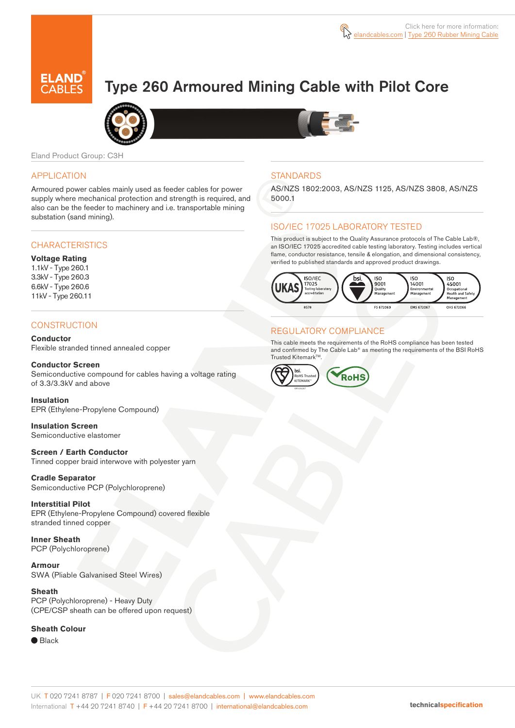

## Type 260 Armoured Mining Cable with Pilot Core



Eland Product Group: C3H

#### APPLICATION

Armoured power cables mainly used as feeder cables for power supply where mechanical protection and strength is required, and also can be the feeder to machinery and i.e. transportable mining substation (sand mining).

#### **CHARACTERISTICS**

#### **Voltage Rating**

1.1kV - Type 260.1 3.3kV - Type 260.3 6.6kV - Type 260.6 11kV - Type 260.11

#### **CONSTRUCTION**

**Conductor** Flexible stranded tinned annealed copper

**Conductor Screen** Semiconductive compound for cables having a voltage rating of 3.3/3.3kV and above

**Insulation** EPR (Ethylene-Propylene Compound)

**Insulation Screen** Semiconductive elastomer

**Screen / Earth Conductor** Tinned copper braid interwove with polyester yarn

#### **Cradle Separator**

Semiconductive PCP (Polychloroprene)

#### **Interstitial Pilot**

EPR (Ethylene-Propylene Compound) covered flexible stranded tinned copper

**Inner Sheath** PCP (Polychloroprene)

**Armour** SWA (Pliable Galvanised Steel Wires)

**Sheath**  PCP (Polychloroprene) - Heavy Duty (CPE/CSP sheath can be offered upon request)

#### **Sheath Colour**

● Black



#### **STANDARDS**

AS/NZS 1802:2003, AS/NZS 1125, AS/NZS 3808, AS/NZS 5000.1

### ISO/IEC 17025 LABORATORY TESTED

This product is subject to the Quality Assurance protocols of The Cable Lab®, an ISO/IEC 17025 accredited cable testing laboratory. Testing includes vertical flame, conductor resistance, tensile & elongation, and dimensional consistency, verified to published standards and approved product drawings.



## REGULATORY COMPLIANCE

This cable meets the requirements of the RoHS compliance has been tested and confirmed by The Cable Lab® as meeting the requirements of the BSI RoHS Trusted Kitemark™